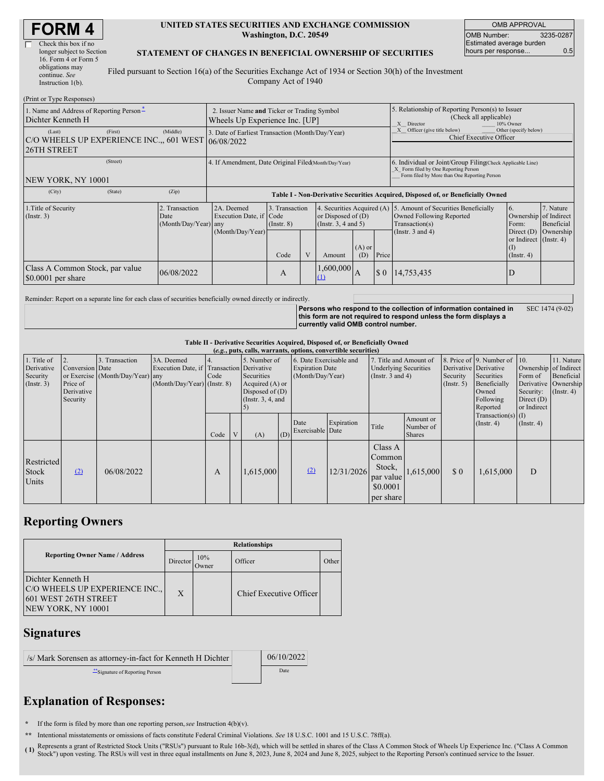| <b>FORM 4</b> |
|---------------|
|---------------|

| Check this box if no      |  |
|---------------------------|--|
| longer subject to Section |  |
| 16. Form 4 or Form 5      |  |
| obligations may           |  |
| continue. See             |  |
| Instruction $l(b)$ .      |  |

#### **UNITED STATES SECURITIES AND EXCHANGE COMMISSION Washington, D.C. 20549**

OMB APPROVAL OMB Number: 3235-0287 Estimated average burden hours per response... 0.5

### **STATEMENT OF CHANGES IN BENEFICIAL OWNERSHIP OF SECURITIES**

Filed pursuant to Section 16(a) of the Securities Exchange Act of 1934 or Section 30(h) of the Investment Company Act of 1940

| (Print or Type Responses)                                                              |                                                                               |                                                                                  |                                           |              |                                                                                     |                 |                                                                                                       |                                                                                                                                                    |                                                                                                                      |                                      |
|----------------------------------------------------------------------------------------|-------------------------------------------------------------------------------|----------------------------------------------------------------------------------|-------------------------------------------|--------------|-------------------------------------------------------------------------------------|-----------------|-------------------------------------------------------------------------------------------------------|----------------------------------------------------------------------------------------------------------------------------------------------------|----------------------------------------------------------------------------------------------------------------------|--------------------------------------|
| 1. Name and Address of Reporting Person-<br>Dichter Kenneth H                          | 2. Issuer Name and Ticker or Trading Symbol<br>Wheels Up Experience Inc. [UP] |                                                                                  |                                           |              |                                                                                     |                 | 5. Relationship of Reporting Person(s) to Issuer<br>(Check all applicable)<br>X Director<br>10% Owner |                                                                                                                                                    |                                                                                                                      |                                      |
| (First)<br>(Last)<br>C/O WHEELS UP EXPERIENCE INC., 601 WEST 06/08/2022<br>26TH STREET | (Middle)                                                                      | 3. Date of Earliest Transaction (Month/Day/Year)                                 |                                           |              |                                                                                     |                 | X Officer (give title below)<br>Other (specify below)<br><b>Chief Executive Officer</b>               |                                                                                                                                                    |                                                                                                                      |                                      |
| (Street)<br>NEW YORK, NY 10001                                                         |                                                                               | 4. If Amendment, Date Original Filed(Month/Day/Year)                             |                                           |              |                                                                                     |                 |                                                                                                       | 6. Individual or Joint/Group Filing(Check Applicable Line)<br>X Form filed by One Reporting Person<br>Form filed by More than One Reporting Person |                                                                                                                      |                                      |
| (State)<br>(City)                                                                      | (Zip)                                                                         | Table I - Non-Derivative Securities Acquired, Disposed of, or Beneficially Owned |                                           |              |                                                                                     |                 |                                                                                                       |                                                                                                                                                    |                                                                                                                      |                                      |
| 1. Title of Security<br>(Insert. 3)                                                    | 2. Transaction<br>Date<br>(Month/Day/Year) any                                | 2A. Deemed<br>Execution Date, if Code<br>(Month/Day/Year)                        | 3. Transaction<br>$($ Instr. $8)$<br>Code | $\mathbf{V}$ | 4. Securities Acquired (A)<br>or Disposed of $(D)$<br>(Instr. 3, 4 and 5)<br>Amount | $(A)$ or<br>(D) | Price                                                                                                 | 5. Amount of Securities Beneficially<br>Owned Following Reported<br>Transaction(s)<br>(Instr. $3$ and $4$ )                                        | <sup>6.</sup><br>Ownership of Indirect<br>Form:<br>Direct $(D)$<br>or Indirect (Instr. 4)<br>(I)<br>$($ Instr. 4 $)$ | 7. Nature<br>Beneficial<br>Ownership |
| Class A Common Stock, par value<br>$$0.0001$ per share                                 | 06/08/2022                                                                    |                                                                                  | A                                         |              | ,600,000                                                                            | I A             | $\boldsymbol{\mathsf{S}}$ 0                                                                           | 14,753,435                                                                                                                                         | D                                                                                                                    |                                      |

Reminder: Report on a separate line for each class of securities beneficially owned directly or indirectly.

**Persons who respond to the collection of information contained in this form are not required to respond unless the form displays a currently valid OMB control number.** SEC 1474 (9-02)

**Table II - Derivative Securities Acquired, Disposed of, or Beneficially Owned**

**(***e.g.***, puts, calls, warrants, options, convertible securities)** 1. Title of Derivative Security (Instr. 3) 2. Conversion or Exercise Price of Derivative Security 3. Transaction **Date** (Month/Day/Year) 3A. Deemed Execution Date, if any (Month/Day/Year) 4. Transaction Code (Instr. 8) 5. Number of **Derivative** Securities Acquired (A) or Disposed of (D) (Instr.  $3, 4,$  and 5) 6. Date Exercisable and Expiration Date (Month/Day/Year) 7. Title and Amount of Underlying Securities (Instr. 3 and 4) . Price of **Derivative Security** (Instr. 5) 9. Number of **Derivative** Securities Beneficially Owned Following Reported Transaction(s)  $($ Instr. 4 $)$ 10. Ownership Form of Derivative Security: Direct (D) or Indirect (I)  $($ Instr. 4) 11. Nature of Indirect Beneficial Ownership (Instr. 4) Code  $V$  (A) (D) Date Exercisable Expiration Expiration Title Amount or Number of Shares Restricted Stock Units  $(2)$  06/08/2022 A 1,615,000  $(2)$  12/31/2026 Class A Common Stock, par value \$0.0001 per share 1,615,000 \$ 0 1,615,000 D

## **Reporting Owners**

|                                                                                                          | <b>Relationships</b> |                     |                         |       |  |  |
|----------------------------------------------------------------------------------------------------------|----------------------|---------------------|-------------------------|-------|--|--|
| <b>Reporting Owner Name / Address</b>                                                                    | Director             | 10%<br><b>Jwner</b> | Officer                 | Other |  |  |
| Dichter Kenneth H<br>C/O WHEELS UP EXPERIENCE INC.,<br>601 WEST 26TH STREET<br><b>NEW YORK, NY 10001</b> | X                    |                     | Chief Executive Officer |       |  |  |

### **Signatures**

| /s/ Mark Sorensen as attorney-in-fact for Kenneth H Dichter | 06/10/2022 |
|-------------------------------------------------------------|------------|
| Signature of Reporting Person                               | Date       |

# **Explanation of Responses:**

If the form is filed by more than one reporting person, *see* Instruction  $4(b)(v)$ .

**\*\*** Intentional misstatements or omissions of facts constitute Federal Criminal Violations. *See* 18 U.S.C. 1001 and 15 U.S.C. 78ff(a).

**( 1)** Represents <sup>a</sup> grant of Restricted Stock Units ("RSUs") pursuant to Rule 16b-3(d), which will be settled in shares of the Class <sup>A</sup> Common Stock of Wheels Up Experience Inc. ("Class <sup>A</sup> Common (1) Represents a grant of Nestricta Stock Units (1.000) pursuant of the Counterparty of the Counterparty and June 8, 2025, subject to the Reporting Person's continued service to the Issuer.<br>Stock") upon vesting. The RSUs w